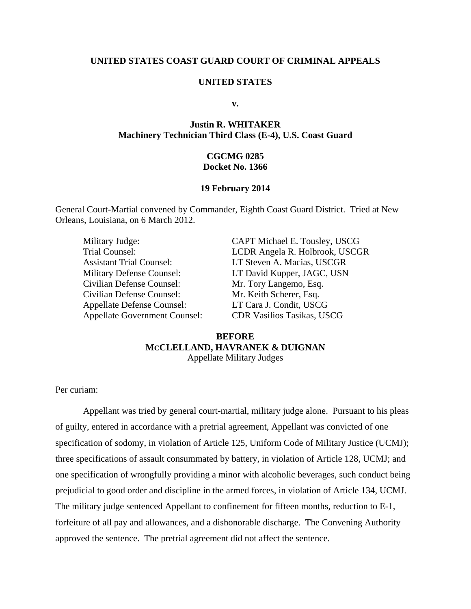## **UNITED STATES COAST GUARD COURT OF CRIMINAL APPEALS**

### **UNITED STATES**

**v.** 

## **Justin R. WHITAKER Machinery Technician Third Class (E-4), U.S. Coast Guard**

## **CGCMG 0285 Docket No. 1366**

#### **19 February 2014**

General Court-Martial convened by Commander, Eighth Coast Guard District. Tried at New Orleans, Louisiana, on 6 March 2012.

| Military Judge:                      | CAPT Michael E. Tousley, USCG     |
|--------------------------------------|-----------------------------------|
| Trial Counsel:                       | LCDR Angela R. Holbrook, USCGR    |
| <b>Assistant Trial Counsel:</b>      | LT Steven A. Macias, USCGR        |
| <b>Military Defense Counsel:</b>     | LT David Kupper, JAGC, USN        |
| Civilian Defense Counsel:            | Mr. Tory Langemo, Esq.            |
| Civilian Defense Counsel:            | Mr. Keith Scherer, Esq.           |
| <b>Appellate Defense Counsel:</b>    | LT Cara J. Condit, USCG           |
| <b>Appellate Government Counsel:</b> | <b>CDR Vasilios Tasikas, USCG</b> |

## **BEFORE MCCLELLAND, HAVRANEK & DUIGNAN**  Appellate Military Judges

Per curiam:

Appellant was tried by general court-martial, military judge alone. Pursuant to his pleas of guilty, entered in accordance with a pretrial agreement, Appellant was convicted of one specification of sodomy, in violation of Article 125, Uniform Code of Military Justice (UCMJ); three specifications of assault consummated by battery, in violation of Article 128, UCMJ; and one specification of wrongfully providing a minor with alcoholic beverages, such conduct being prejudicial to good order and discipline in the armed forces, in violation of Article 134, UCMJ. The military judge sentenced Appellant to confinement for fifteen months, reduction to E-1, forfeiture of all pay and allowances, and a dishonorable discharge. The Convening Authority approved the sentence. The pretrial agreement did not affect the sentence.